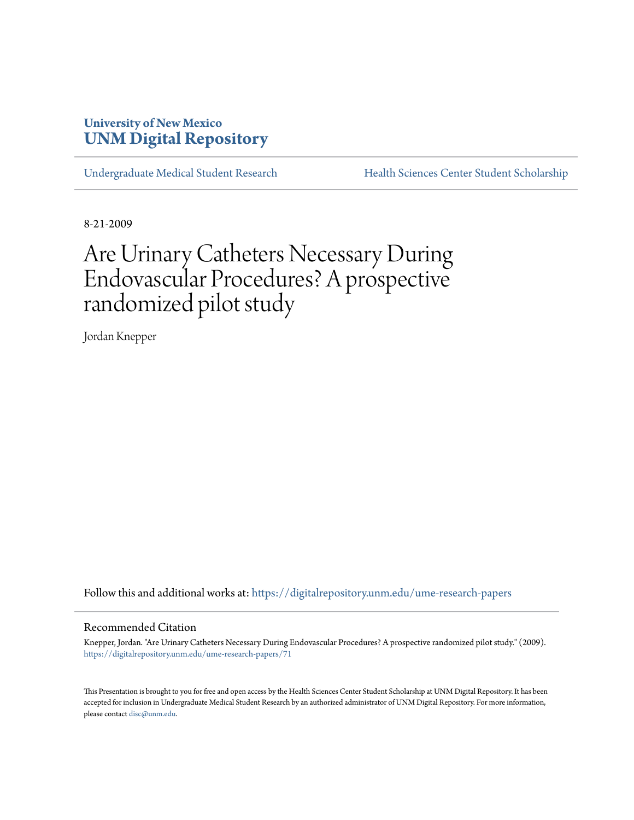# **University of New Mexico [UNM Digital Repository](https://digitalrepository.unm.edu?utm_source=digitalrepository.unm.edu%2Fume-research-papers%2F71&utm_medium=PDF&utm_campaign=PDFCoverPages)**

[Undergraduate Medical Student Research](https://digitalrepository.unm.edu/ume-research-papers?utm_source=digitalrepository.unm.edu%2Fume-research-papers%2F71&utm_medium=PDF&utm_campaign=PDFCoverPages) [Health Sciences Center Student Scholarship](https://digitalrepository.unm.edu/hsc-students?utm_source=digitalrepository.unm.edu%2Fume-research-papers%2F71&utm_medium=PDF&utm_campaign=PDFCoverPages)

8-21-2009

# Are Urinary Catheters Necessary During Endovascular Procedures? A prospective randomized pilot study

Jordan Knepper

Follow this and additional works at: [https://digitalrepository.unm.edu/ume-research-papers](https://digitalrepository.unm.edu/ume-research-papers?utm_source=digitalrepository.unm.edu%2Fume-research-papers%2F71&utm_medium=PDF&utm_campaign=PDFCoverPages)

#### Recommended Citation

Knepper, Jordan. "Are Urinary Catheters Necessary During Endovascular Procedures? A prospective randomized pilot study." (2009). [https://digitalrepository.unm.edu/ume-research-papers/71](https://digitalrepository.unm.edu/ume-research-papers/71?utm_source=digitalrepository.unm.edu%2Fume-research-papers%2F71&utm_medium=PDF&utm_campaign=PDFCoverPages)

This Presentation is brought to you for free and open access by the Health Sciences Center Student Scholarship at UNM Digital Repository. It has been accepted for inclusion in Undergraduate Medical Student Research by an authorized administrator of UNM Digital Repository. For more information, please contact [disc@unm.edu.](mailto:disc@unm.edu)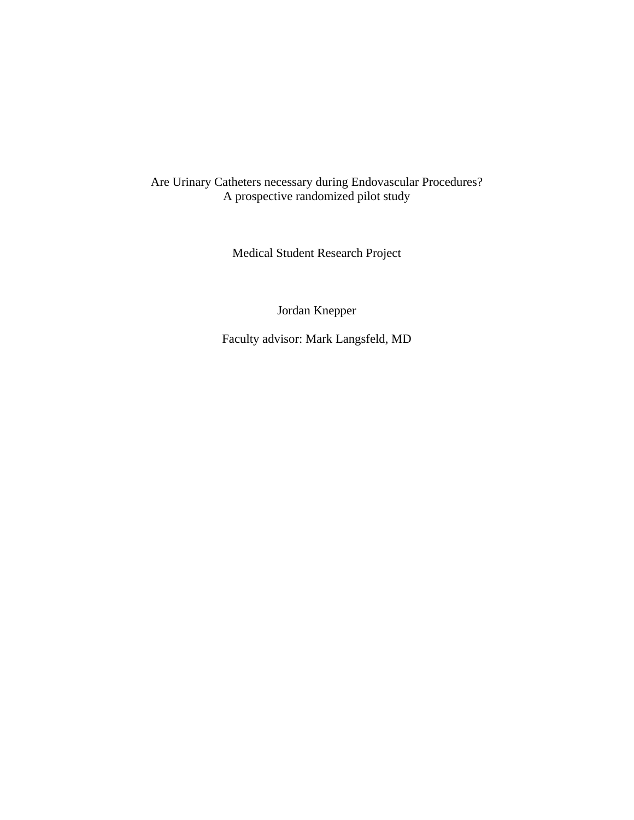# Are Urinary Catheters necessary during Endovascular Procedures? A prospective randomized pilot study

Medical Student Research Project

Jordan Knepper

Faculty advisor: Mark Langsfeld, MD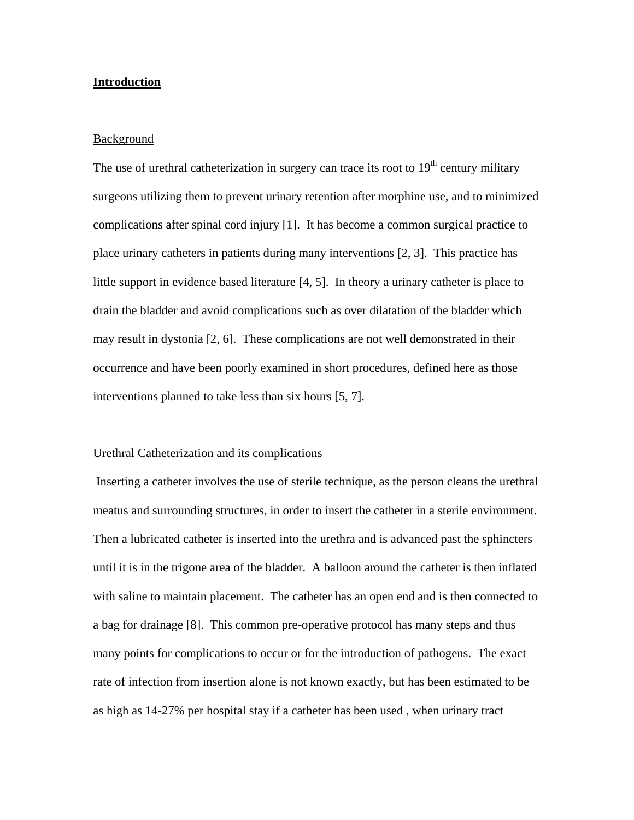# **Introduction**

# Background

The use of urethral catheterization in surgery can trace its root to  $19<sup>th</sup>$  century military surgeons utilizing them to prevent urinary retention after morphine use, and to minimized complications after spinal cord injury [1]. It has become a common surgical practice to place urinary catheters in patients during many interventions [2, 3]. This practice has little support in evidence based literature [4, 5]. In theory a urinary catheter is place to drain the bladder and avoid complications such as over dilatation of the bladder which may result in dystonia [2, 6]. These complications are not well demonstrated in their occurrence and have been poorly examined in short procedures, defined here as those interventions planned to take less than six hours [5, 7].

## Urethral Catheterization and its complications

 Inserting a catheter involves the use of sterile technique, as the person cleans the urethral meatus and surrounding structures, in order to insert the catheter in a sterile environment. Then a lubricated catheter is inserted into the urethra and is advanced past the sphincters until it is in the trigone area of the bladder. A balloon around the catheter is then inflated with saline to maintain placement. The catheter has an open end and is then connected to a bag for drainage [8]. This common pre-operative protocol has many steps and thus many points for complications to occur or for the introduction of pathogens. The exact rate of infection from insertion alone is not known exactly, but has been estimated to be as high as 14-27% per hospital stay if a catheter has been used , when urinary tract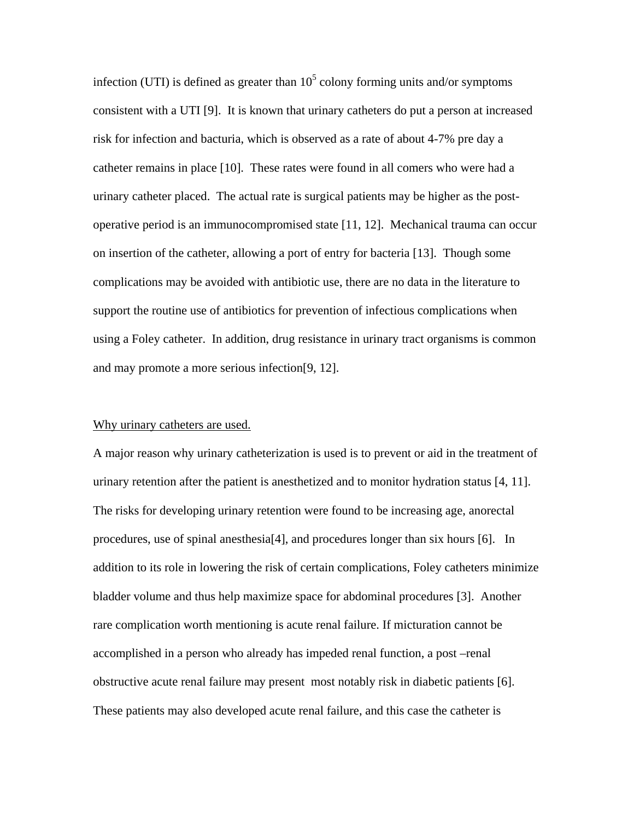infection (UTI) is defined as greater than  $10<sup>5</sup>$  colony forming units and/or symptoms consistent with a UTI [9]. It is known that urinary catheters do put a person at increased risk for infection and bacturia, which is observed as a rate of about 4-7% pre day a catheter remains in place [10]. These rates were found in all comers who were had a urinary catheter placed. The actual rate is surgical patients may be higher as the postoperative period is an immunocompromised state [11, 12]. Mechanical trauma can occur on insertion of the catheter, allowing a port of entry for bacteria [13]. Though some complications may be avoided with antibiotic use, there are no data in the literature to support the routine use of antibiotics for prevention of infectious complications when using a Foley catheter. In addition, drug resistance in urinary tract organisms is common and may promote a more serious infection[9, 12].

# Why urinary catheters are used.

A major reason why urinary catheterization is used is to prevent or aid in the treatment of urinary retention after the patient is anesthetized and to monitor hydration status [4, 11]. The risks for developing urinary retention were found to be increasing age, anorectal procedures, use of spinal anesthesia[4], and procedures longer than six hours [6]. In addition to its role in lowering the risk of certain complications, Foley catheters minimize bladder volume and thus help maximize space for abdominal procedures [3]. Another rare complication worth mentioning is acute renal failure. If micturation cannot be accomplished in a person who already has impeded renal function, a post –renal obstructive acute renal failure may present most notably risk in diabetic patients [6]. These patients may also developed acute renal failure, and this case the catheter is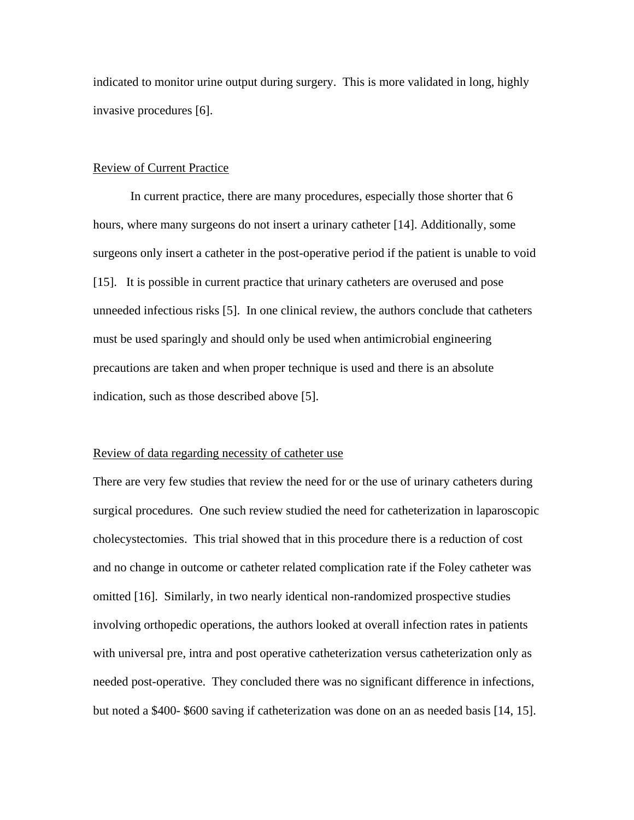indicated to monitor urine output during surgery. This is more validated in long, highly invasive procedures [6].

# Review of Current Practice

In current practice, there are many procedures, especially those shorter that 6 hours, where many surgeons do not insert a urinary catheter [14]. Additionally, some surgeons only insert a catheter in the post-operative period if the patient is unable to void [15]. It is possible in current practice that urinary catheters are overused and pose unneeded infectious risks [5]. In one clinical review, the authors conclude that catheters must be used sparingly and should only be used when antimicrobial engineering precautions are taken and when proper technique is used and there is an absolute indication, such as those described above [5].

#### Review of data regarding necessity of catheter use

There are very few studies that review the need for or the use of urinary catheters during surgical procedures. One such review studied the need for catheterization in laparoscopic cholecystectomies. This trial showed that in this procedure there is a reduction of cost and no change in outcome or catheter related complication rate if the Foley catheter was omitted [16]. Similarly, in two nearly identical non-randomized prospective studies involving orthopedic operations, the authors looked at overall infection rates in patients with universal pre, intra and post operative catheterization versus catheterization only as needed post-operative. They concluded there was no significant difference in infections, but noted a \$400- \$600 saving if catheterization was done on an as needed basis [14, 15].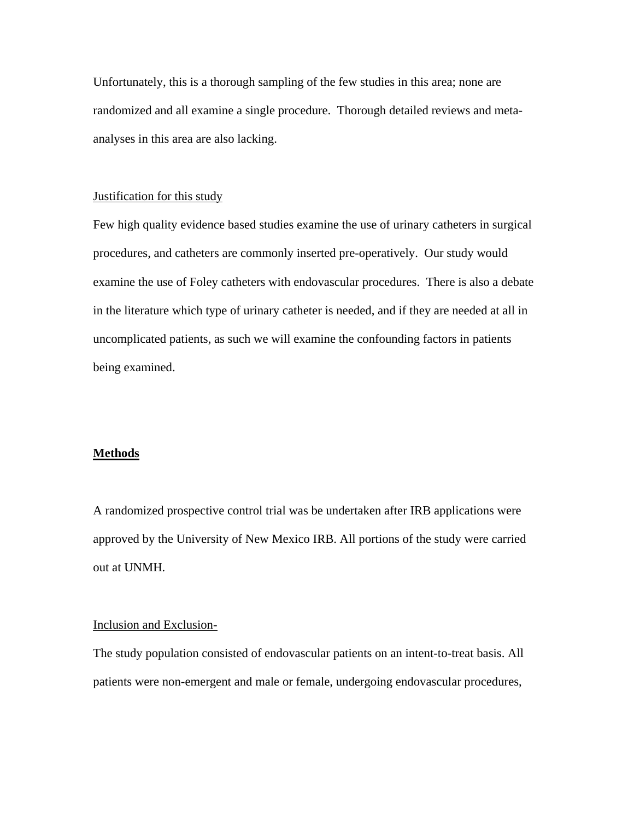Unfortunately, this is a thorough sampling of the few studies in this area; none are randomized and all examine a single procedure. Thorough detailed reviews and metaanalyses in this area are also lacking.

# Justification for this study

Few high quality evidence based studies examine the use of urinary catheters in surgical procedures, and catheters are commonly inserted pre-operatively. Our study would examine the use of Foley catheters with endovascular procedures. There is also a debate in the literature which type of urinary catheter is needed, and if they are needed at all in uncomplicated patients, as such we will examine the confounding factors in patients being examined.

## **Methods**

A randomized prospective control trial was be undertaken after IRB applications were approved by the University of New Mexico IRB. All portions of the study were carried out at UNMH.

# Inclusion and Exclusion-

The study population consisted of endovascular patients on an intent-to-treat basis. All patients were non-emergent and male or female, undergoing endovascular procedures,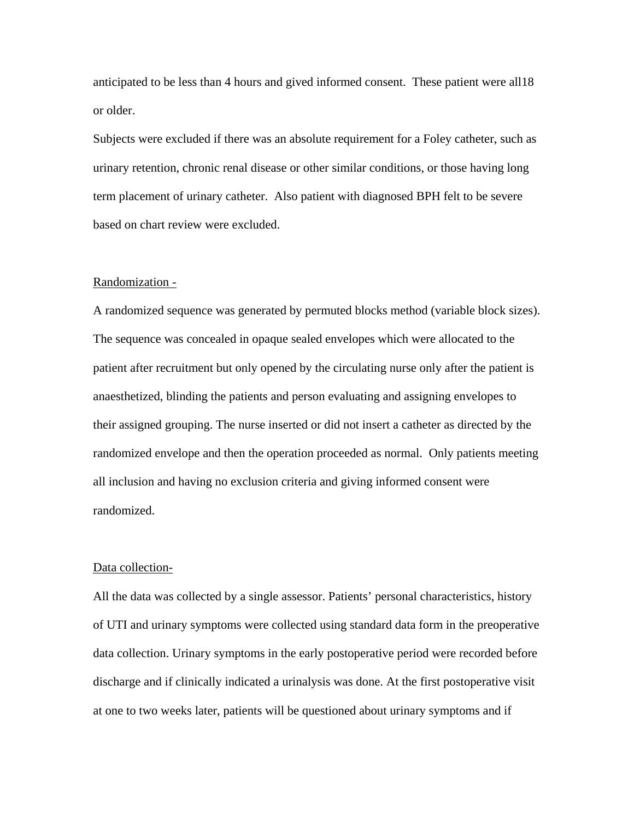anticipated to be less than 4 hours and gived informed consent. These patient were all18 or older.

Subjects were excluded if there was an absolute requirement for a Foley catheter, such as urinary retention, chronic renal disease or other similar conditions, or those having long term placement of urinary catheter. Also patient with diagnosed BPH felt to be severe based on chart review were excluded.

#### Randomization -

A randomized sequence was generated by permuted blocks method (variable block sizes). The sequence was concealed in opaque sealed envelopes which were allocated to the patient after recruitment but only opened by the circulating nurse only after the patient is anaesthetized, blinding the patients and person evaluating and assigning envelopes to their assigned grouping. The nurse inserted or did not insert a catheter as directed by the randomized envelope and then the operation proceeded as normal. Only patients meeting all inclusion and having no exclusion criteria and giving informed consent were randomized.

#### Data collection-

All the data was collected by a single assessor. Patients' personal characteristics, history of UTI and urinary symptoms were collected using standard data form in the preoperative data collection. Urinary symptoms in the early postoperative period were recorded before discharge and if clinically indicated a urinalysis was done. At the first postoperative visit at one to two weeks later, patients will be questioned about urinary symptoms and if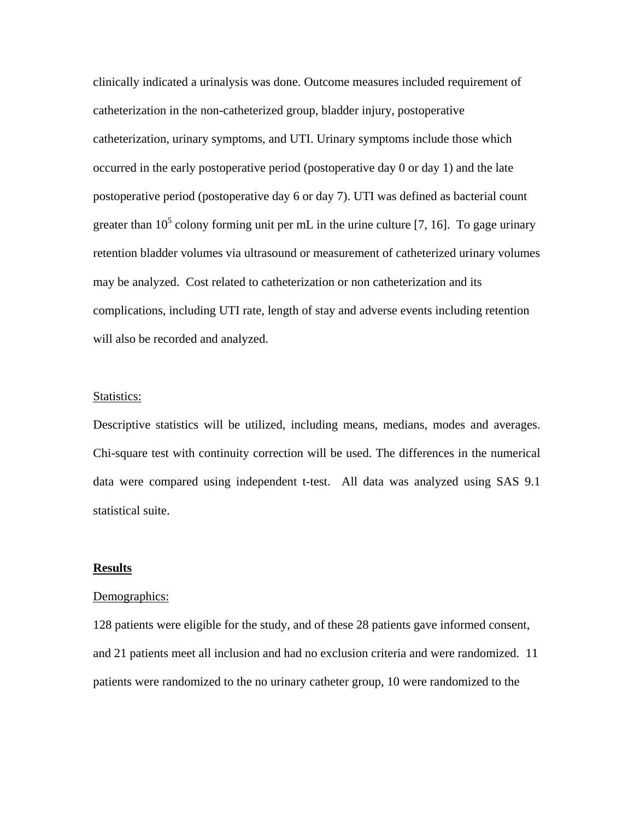clinically indicated a urinalysis was done. Outcome measures included requirement of catheterization in the non-catheterized group, bladder injury, postoperative catheterization, urinary symptoms, and UTI. Urinary symptoms include those which occurred in the early postoperative period (postoperative day 0 or day 1) and the late postoperative period (postoperative day 6 or day 7). UTI was defined as bacterial count greater than  $10^5$  colony forming unit per mL in the urine culture [7, 16]. To gage urinary retention bladder volumes via ultrasound or measurement of catheterized urinary volumes may be analyzed. Cost related to catheterization or non catheterization and its complications, including UTI rate, length of stay and adverse events including retention will also be recorded and analyzed.

#### Statistics:

Descriptive statistics will be utilized, including means, medians, modes and averages. Chi-square test with continuity correction will be used. The differences in the numerical data were compared using independent t-test. All data was analyzed using SAS 9.1 statistical suite.

## **Results**

## Demographics:

128 patients were eligible for the study, and of these 28 patients gave informed consent, and 21 patients meet all inclusion and had no exclusion criteria and were randomized. 11 patients were randomized to the no urinary catheter group, 10 were randomized to the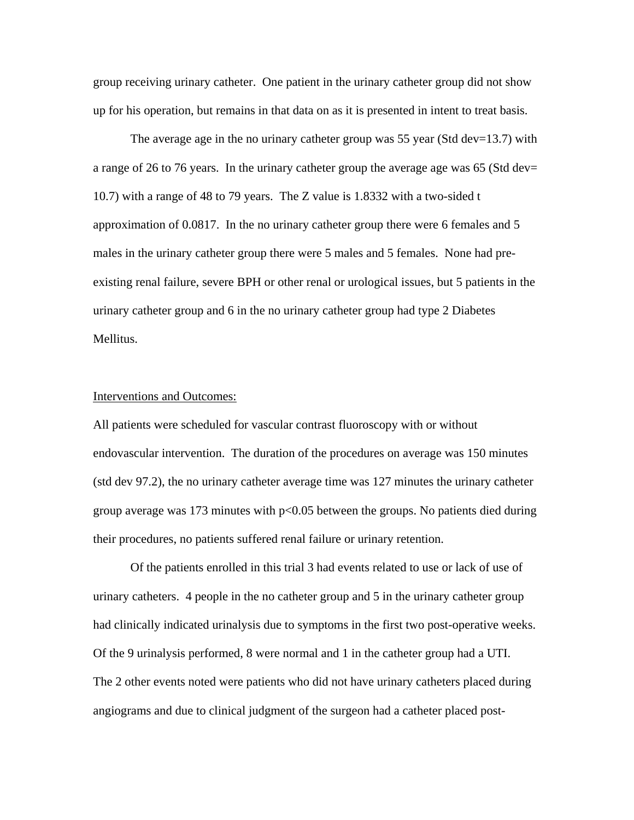group receiving urinary catheter. One patient in the urinary catheter group did not show up for his operation, but remains in that data on as it is presented in intent to treat basis.

The average age in the no urinary catheter group was 55 year (Std dev=13.7) with a range of 26 to 76 years. In the urinary catheter group the average age was 65 (Std dev= 10.7) with a range of 48 to 79 years. The Z value is 1.8332 with a two-sided t approximation of 0.0817. In the no urinary catheter group there were 6 females and 5 males in the urinary catheter group there were 5 males and 5 females. None had preexisting renal failure, severe BPH or other renal or urological issues, but 5 patients in the urinary catheter group and 6 in the no urinary catheter group had type 2 Diabetes Mellitus.

#### Interventions and Outcomes:

All patients were scheduled for vascular contrast fluoroscopy with or without endovascular intervention. The duration of the procedures on average was 150 minutes (std dev 97.2), the no urinary catheter average time was 127 minutes the urinary catheter group average was 173 minutes with p<0.05 between the groups. No patients died during their procedures, no patients suffered renal failure or urinary retention.

 Of the patients enrolled in this trial 3 had events related to use or lack of use of urinary catheters. 4 people in the no catheter group and 5 in the urinary catheter group had clinically indicated urinalysis due to symptoms in the first two post-operative weeks. Of the 9 urinalysis performed, 8 were normal and 1 in the catheter group had a UTI. The 2 other events noted were patients who did not have urinary catheters placed during angiograms and due to clinical judgment of the surgeon had a catheter placed post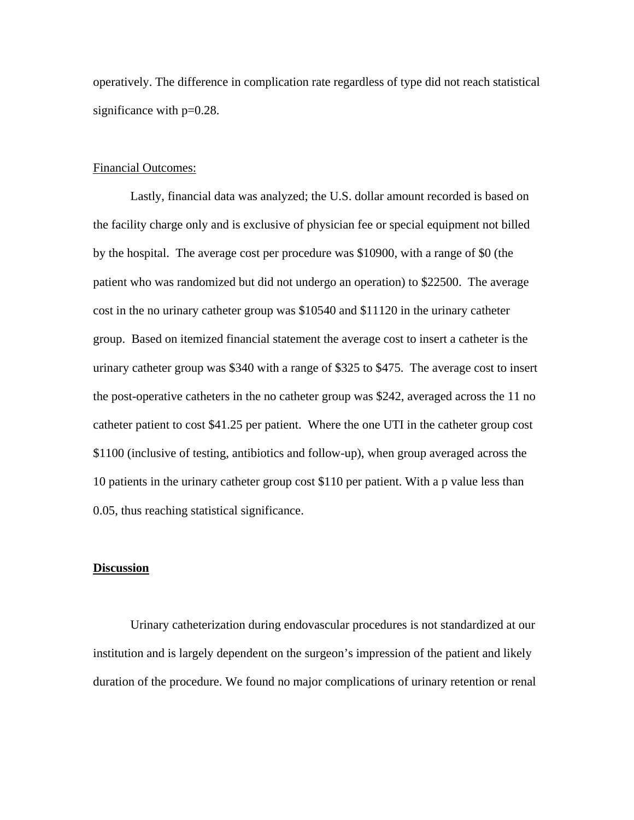operatively. The difference in complication rate regardless of type did not reach statistical significance with  $p=0.28$ .

# Financial Outcomes:

 Lastly, financial data was analyzed; the U.S. dollar amount recorded is based on the facility charge only and is exclusive of physician fee or special equipment not billed by the hospital. The average cost per procedure was \$10900, with a range of \$0 (the patient who was randomized but did not undergo an operation) to \$22500. The average cost in the no urinary catheter group was \$10540 and \$11120 in the urinary catheter group. Based on itemized financial statement the average cost to insert a catheter is the urinary catheter group was \$340 with a range of \$325 to \$475. The average cost to insert the post-operative catheters in the no catheter group was \$242, averaged across the 11 no catheter patient to cost \$41.25 per patient. Where the one UTI in the catheter group cost \$1100 (inclusive of testing, antibiotics and follow-up), when group averaged across the 10 patients in the urinary catheter group cost \$110 per patient. With a p value less than 0.05, thus reaching statistical significance.

# **Discussion**

 Urinary catheterization during endovascular procedures is not standardized at our institution and is largely dependent on the surgeon's impression of the patient and likely duration of the procedure. We found no major complications of urinary retention or renal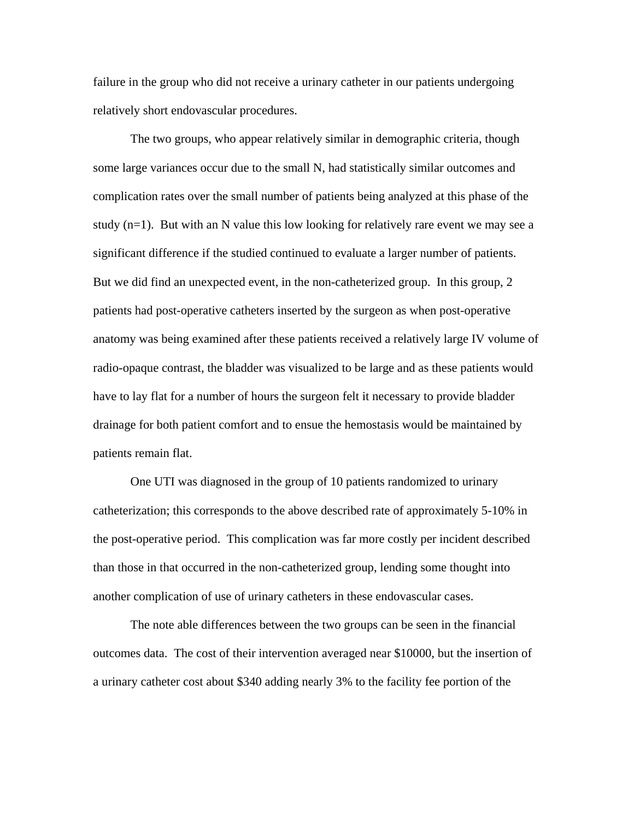failure in the group who did not receive a urinary catheter in our patients undergoing relatively short endovascular procedures.

 The two groups, who appear relatively similar in demographic criteria, though some large variances occur due to the small N, had statistically similar outcomes and complication rates over the small number of patients being analyzed at this phase of the study  $(n=1)$ . But with an N value this low looking for relatively rare event we may see a significant difference if the studied continued to evaluate a larger number of patients. But we did find an unexpected event, in the non-catheterized group. In this group, 2 patients had post-operative catheters inserted by the surgeon as when post-operative anatomy was being examined after these patients received a relatively large IV volume of radio-opaque contrast, the bladder was visualized to be large and as these patients would have to lay flat for a number of hours the surgeon felt it necessary to provide bladder drainage for both patient comfort and to ensue the hemostasis would be maintained by patients remain flat.

 One UTI was diagnosed in the group of 10 patients randomized to urinary catheterization; this corresponds to the above described rate of approximately 5-10% in the post-operative period. This complication was far more costly per incident described than those in that occurred in the non-catheterized group, lending some thought into another complication of use of urinary catheters in these endovascular cases.

 The note able differences between the two groups can be seen in the financial outcomes data. The cost of their intervention averaged near \$10000, but the insertion of a urinary catheter cost about \$340 adding nearly 3% to the facility fee portion of the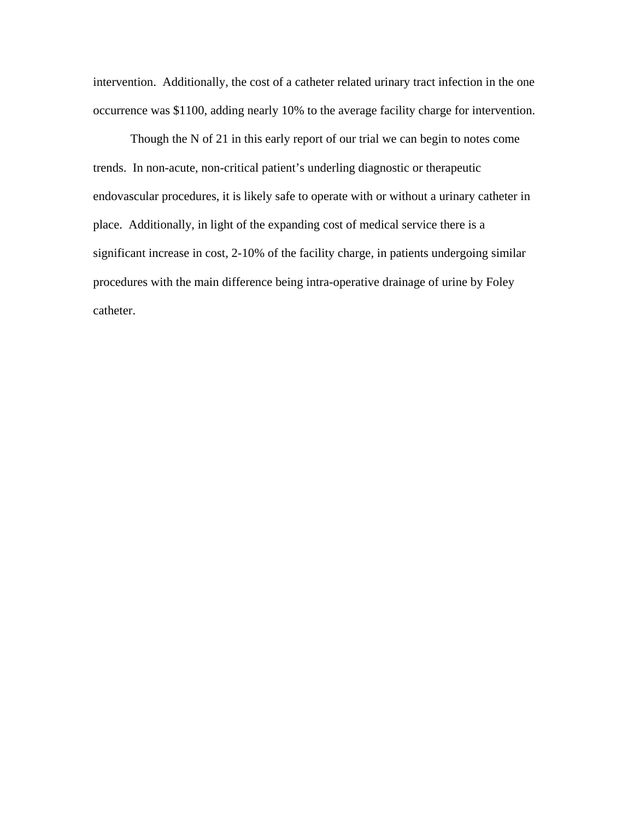intervention. Additionally, the cost of a catheter related urinary tract infection in the one occurrence was \$1100, adding nearly 10% to the average facility charge for intervention.

 Though the N of 21 in this early report of our trial we can begin to notes come trends. In non-acute, non-critical patient's underling diagnostic or therapeutic endovascular procedures, it is likely safe to operate with or without a urinary catheter in place. Additionally, in light of the expanding cost of medical service there is a significant increase in cost, 2-10% of the facility charge, in patients undergoing similar procedures with the main difference being intra-operative drainage of urine by Foley catheter.